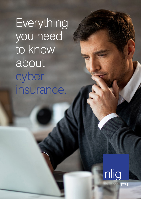Everything you need to know about cyber insurance.

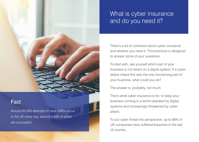

## Fact

Around 65,000 attempts to hack SMEs occur in the UK every day, around 4,500 of which are successful.

# What is cyber insurance and do you need it?

There's a lot of confusion about cyber insurance and whether you need it. This brochure is designed to answer some of your questions.

To start with, ask yourself which part of your business is not reliant on a digital system. If a cyber attack meant this was the only functioning part of your business, what could you do?

The answer is, probably, not much.

That's what cyber insurance is for, to keep your business running in a world operated by digital systems and increasingly threatened by cyber attack.

To put cyber threat into perspective, up to 88% of UK companies have suffered breaches in the last 12 months.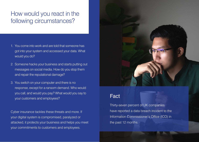# How would you react in the following circumstances?

- 1. You come into work and are told that someone has got into your system and accessed your data. What would you do?
- 2. Someone hacks your business and starts putting out messages on social media. How do you stop them and repair the reputational damage?
- 3. You switch on your computer and there is no response, except for a ransom demand. Who would you call, and would you pay? What would you say to your customers and employees?

Cyber insurance tackles these threats and more. If your digital system is compromised, paralyzed or attacked, it protects your business and helps you meet your commitments to customers and employees.



## Fact

Thirty-seven percent of UK companies have reported a data breach incident to the Information Commissioner's Office (ICO) in the past 12 months.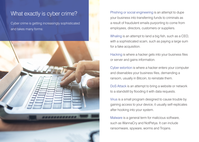## What exactly is cyber crime?

Cyber crime is getting increasingly sophisticated and takes many forms:



Phishing or social engineering is an attempt to dupe your business into transferring funds to criminals as a result of fraudulent emails purporting to come from employees, directors, customers or suppliers.

Whaling is an attempt to land a big fish, such as a CEO, with a sophisticated scam, such as paying a large sum for a fake acquisition.

Hacking is where a hacker gets into your business files or server and gains information.

Cyber extortion is where a hacker enters your computer and disenables your business files, demanding a ransom, usually in Bitcoin, to reinstate them.

DoS Attack is an attempt to bring a website or network to a standstill by flooding it with data requests.

Virus is a small program designed to cause trouble by gaining access to your device, it usually self-replicates after hooking into your system.

Malware is a general term for malicious software, such as WannaCry and NotPetya. It can include ransomware, spyware, worms and Trojans.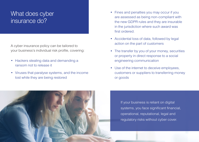# What does cyber insurance do?

A cyber insurance policy can be tailored to your business's individual risk profile, covering:

- Hackers stealing data and demanding a ransom not to release it
- Viruses that paralyse systems, and the income lost while they are being restored
- Fines and penalties you may occur if you are assessed as being non-compliant with the new GDPR rules and they are insurable in the jurisdiction where such award was first ordered.
- Accidental loss of data, followed by legal action on the part of customers
- The transfer by you of your money, securities or property in direct response to a social engineering communication
- Use of the internet to deceive employees, customers or suppliers to transferring money or goods



If your business is reliant on digital systems, you face significant financial, operational, reputational, legal and regulatory risks without cyber cover.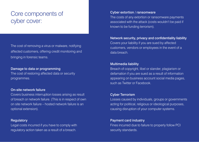# Core components of cyber cover:

The cost of removing a virus or malware, notifying affected customers, offering credit monitoring and bringing in forensic teams.

#### Damage to data or programming

The cost of restoring affected data or security programmes.

#### On-site network failure

Covers business interruption losses arising as result of breach or network failure. (This is in respect of own on site network failure – hosted network failure is an optional extension).

#### Regulatory

Legal costs incurred if you have to comply with regulatory action taken as a result of a breach.

#### Cyber extortion / ransomware

The costs of any extortion or ransomware payments associated with the attack (costs wouldn't be paid if known to be funding terrorism).

#### Network security, privacy and confidentiality liability Covers your liability if you are sued by affected

customers, vendors or employees in the event of a data breach.

#### Multimedia liability

Breach of copyright, libel or slander, plagiarism or defamation if you are sued as a result of information appearing on business account social media pages, such as Twitter or Facebook.

#### Cyber Terrorism

Losses caused by individuals, groups or governments acting for political, religious or ideological purposes, causing disruption of your computer systems.

#### Payment card industry

Fines incurred due to failure to properly follow PCI security standards.